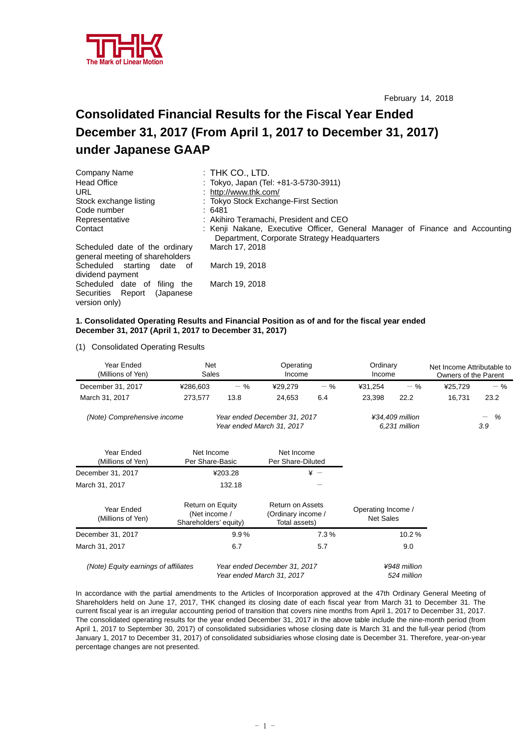

February 14, 2018

# **Consolidated Financial Results for the Fiscal Year Ended December 31, 2017 (From April 1, 2017 to December 31, 2017) under Japanese GAAP**

| Company Name                                                      | $:$ Thk CO., LTD.                                                                                                           |
|-------------------------------------------------------------------|-----------------------------------------------------------------------------------------------------------------------------|
| <b>Head Office</b>                                                | : Tokyo, Japan (Tel: +81-3-5730-3911)                                                                                       |
| URL                                                               | : http://www.thk.com/                                                                                                       |
| Stock exchange listing                                            | : Tokyo Stock Exchange-First Section                                                                                        |
| Code number                                                       | :6481                                                                                                                       |
| Representative                                                    | : Akihiro Teramachi, President and CEO                                                                                      |
| Contact                                                           | : Kenji Nakane, Executive Officer, General Manager of Finance and Accounting<br>Department, Corporate Strategy Headquarters |
| Scheduled date of the ordinary<br>general meeting of shareholders | March 17, 2018                                                                                                              |
| Scheduled starting<br>date of<br>dividend payment                 | March 19, 2018                                                                                                              |
| Scheduled date of<br>filing the                                   | March 19, 2018                                                                                                              |
| Securities Report<br>(Japanese)<br>version only)                  |                                                                                                                             |

#### **1. Consolidated Operating Results and Financial Position as of and for the fiscal year ended December 31, 2017 (April 1, 2017 to December 31, 2017)**

(1) Consolidated Operating Results

| Year Ended<br>(Millions of Yen)                                                          | Net                                                        | Sales   |                                                                | Operating<br>Income              |                                        | Ordinary<br>Income |         | Net Income Attributable to<br>Owners of the Parent |
|------------------------------------------------------------------------------------------|------------------------------------------------------------|---------|----------------------------------------------------------------|----------------------------------|----------------------------------------|--------------------|---------|----------------------------------------------------|
| December 31, 2017                                                                        | ¥286,603                                                   | $-$ %   | ¥29,279                                                        | $-$ %                            | ¥31,254                                | $-$ %              | ¥25,729 | $-$ %                                              |
| March 31, 2017                                                                           | 273,577                                                    | 13.8    | 24,653                                                         | 6.4                              | 23,398                                 | 22.2               | 16,731  | 23.2                                               |
| (Note) Comprehensive income<br>Year ended December 31, 2017<br>Year ended March 31, 2017 |                                                            |         |                                                                | ¥34,409 million<br>6,231 million |                                        | %<br>—<br>3.9      |         |                                                    |
| Year Ended<br>(Millions of Yen)                                                          | Net Income<br>Per Share-Basic                              |         | Net Income<br>Per Share-Diluted                                |                                  |                                        |                    |         |                                                    |
| December 31, 2017                                                                        |                                                            | ¥203.28 |                                                                | $* -$                            |                                        |                    |         |                                                    |
| March 31, 2017                                                                           |                                                            | 132.18  |                                                                |                                  |                                        |                    |         |                                                    |
| Year Ended<br>(Millions of Yen)                                                          | Return on Equity<br>(Net income /<br>Shareholders' equity) |         | <b>Return on Assets</b><br>(Ordinary income /<br>Total assets) |                                  | Operating Income /<br><b>Net Sales</b> |                    |         |                                                    |
| December 31, 2017                                                                        |                                                            | 9.9%    |                                                                | 7.3%                             |                                        | 10.2%              |         |                                                    |
| March 31, 2017                                                                           |                                                            | 6.7     |                                                                | 5.7                              |                                        | 9.0                |         |                                                    |
| (Note) Equity earnings of affiliates                                                     |                                                            |         | Year ended December 31, 2017                                   |                                  |                                        | ¥948 million       |         |                                                    |

 *Year ended March 31, 2017 524 million* 

In accordance with the partial amendments to the Articles of Incorporation approved at the 47th Ordinary General Meeting of Shareholders held on June 17, 2017, THK changed its closing date of each fiscal year from March 31 to December 31. The current fiscal year is an irregular accounting period of transition that covers nine months from April 1, 2017 to December 31, 2017. The consolidated operating results for the year ended December 31, 2017 in the above table include the nine-month period (from April 1, 2017 to September 30, 2017) of consolidated subsidiaries whose closing date is March 31 and the full-year period (from January 1, 2017 to December 31, 2017) of consolidated subsidiaries whose closing date is December 31. Therefore, year-on-year percentage changes are not presented.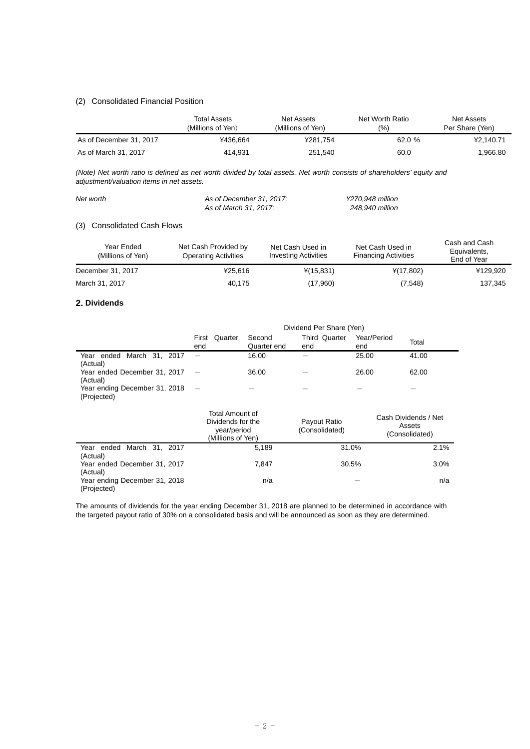#### (2) Consolidated Financial Position

|                         | <b>Total Assets</b><br>(Millions of Yen) | Net Worth Ratio<br>Net Assets<br>(%)<br>(Millions of Yen) |        | Net Assets<br>Per Share (Yen) |
|-------------------------|------------------------------------------|-----------------------------------------------------------|--------|-------------------------------|
| As of December 31, 2017 | ¥436.664                                 | ¥281.754                                                  | 62.0 % | ¥2.140.71                     |
| As of March 31, 2017    | 414.931                                  | 251,540                                                   | 60.0   | .966.80                       |

*(Note) Net worth ratio is defined as net worth divided by total assets. Net worth consists of shareholders' equity and adjustment/valuation items in net assets.* 

| Net worth | As of December 31, 2017: | ¥270.948 million |  |
|-----------|--------------------------|------------------|--|
|           | As of March 31, 2017:    | 248.940 million  |  |

#### (3) Consolidated Cash Flows

| Year Ended<br>(Millions of Yen) | Net Cash Provided by<br><b>Operating Activities</b> | Net Cash Used in<br><b>Investing Activities</b> | Net Cash Used in<br><b>Financing Activities</b> | Cash and Cash<br>Equivalents,<br>End of Year |
|---------------------------------|-----------------------------------------------------|-------------------------------------------------|-------------------------------------------------|----------------------------------------------|
| December 31, 2017               | ¥25.616                                             | $*(15, 831)$                                    | $*(17,802)$                                     | ¥129,920                                     |
| March 31, 2017                  | 40.175                                              | (17,960)                                        | (7,548)                                         | 137,345                                      |

#### **2. Dividends**

|                                              | Dividend Per Share (Yen)                                                 |                       |                                |                    |                                                  |
|----------------------------------------------|--------------------------------------------------------------------------|-----------------------|--------------------------------|--------------------|--------------------------------------------------|
|                                              | Quarter<br>First<br>end                                                  | Second<br>Quarter end | Third Quarter<br>end           | Year/Period<br>end | Total                                            |
| Year ended March 31, 2017<br>(Actual)        |                                                                          | 16.00                 |                                | 25.00              | 41.00                                            |
| Year ended December 31, 2017<br>(Actual)     |                                                                          | 36.00                 |                                | 26.00              | 62.00                                            |
| Year ending December 31, 2018<br>(Projected) |                                                                          |                       |                                |                    |                                                  |
|                                              | Total Amount of<br>Dividends for the<br>year/period<br>(Millions of Yen) |                       | Payout Ratio<br>(Consolidated) |                    | Cash Dividends / Net<br>Assets<br>(Consolidated) |
| Year ended March 31, 2017<br>(Actual)        |                                                                          | 5,189                 |                                | 31.0%              | 2.1%                                             |
| Year ended December 31, 2017<br>(Actual)     |                                                                          | 7.847                 |                                | 30.5%              | $3.0\%$                                          |
| Year ending December 31, 2018<br>(Projected) |                                                                          | n/a                   |                                |                    | n/a                                              |

The amounts of dividends for the year ending December 31, 2018 are planned to be determined in accordance with the targeted payout ratio of 30% on a consolidated basis and will be announced as soon as they are determined.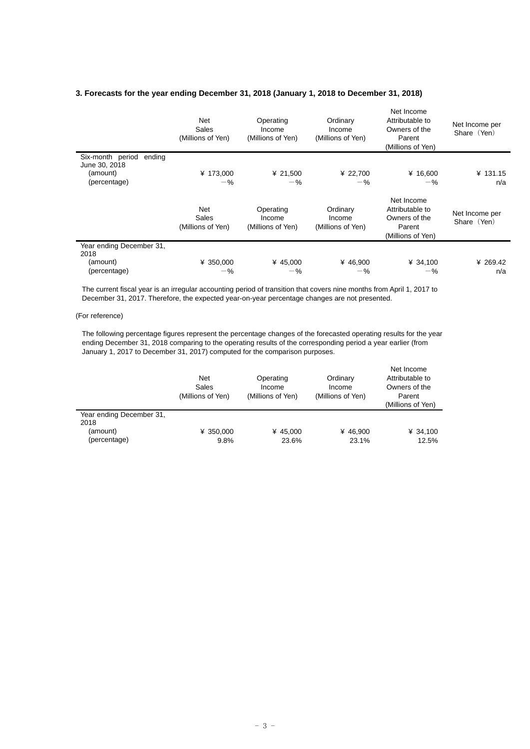# **3. Forecasts for the year ending December 31, 2018 (January 1, 2018 to December 31, 2018)**

|                                             | Net<br>Sales<br>(Millions of Yen) | Operating<br>Income<br>(Millions of Yen) | Ordinary<br>Income<br>(Millions of Yen) | Net Income<br>Attributable to<br>Owners of the<br>Parent<br>(Millions of Yen) | Net Income per<br>Share (Yen) |
|---------------------------------------------|-----------------------------------|------------------------------------------|-----------------------------------------|-------------------------------------------------------------------------------|-------------------------------|
| Six-month period<br>ending<br>June 30, 2018 |                                   |                                          |                                         |                                                                               |                               |
| (amount)                                    | ¥ 173,000                         | ¥ 21,500                                 | ¥ 22,700                                | ¥ 16,600                                                                      | ¥ 131.15                      |
| (percentage)                                | $-$ %                             | $-$ %                                    | $-$ %                                   | $-$ %                                                                         | n/a                           |
|                                             | Net<br>Sales<br>(Millions of Yen) | Operating<br>Income<br>(Millions of Yen) | Ordinary<br>Income<br>(Millions of Yen) | Net Income<br>Attributable to<br>Owners of the<br>Parent<br>(Millions of Yen) | Net Income per<br>Share (Yen) |
| Year ending December 31,                    |                                   |                                          |                                         |                                                                               |                               |
| 2018                                        |                                   |                                          |                                         |                                                                               |                               |
| (amount)                                    | ¥ 350,000                         | ¥ 45,000                                 | ¥ 46,900                                | ¥ 34,100                                                                      | ¥ 269.42                      |
| (percentage)                                | $-$ %                             | $-$ %                                    | $-$ %                                   | $-$ %                                                                         | n/a                           |

The current fiscal year is an irregular accounting period of transition that covers nine months from April 1, 2017 to December 31, 2017. Therefore, the expected year-on-year percentage changes are not presented.

## (For reference)

The following percentage figures represent the percentage changes of the forecasted operating results for the year ending December 31, 2018 comparing to the operating results of the corresponding period a year earlier (from January 1, 2017 to December 31, 2017) computed for the comparison purposes.

|                                                              | <b>Net</b><br>Sales<br>(Millions of Yen) | Operating<br>Income<br>(Millions of Yen) | Ordinary<br>Income<br>(Millions of Yen) | Net Income<br>Attributable to<br>Owners of the<br>Parent<br>(Millions of Yen) |
|--------------------------------------------------------------|------------------------------------------|------------------------------------------|-----------------------------------------|-------------------------------------------------------------------------------|
| Year ending December 31,<br>2018<br>(amount)<br>(percentage) | ¥ 350,000<br>9.8%                        | ¥ 45.000<br>23.6%                        | ¥ 46.900<br>23.1%                       | ¥ 34,100<br>12.5%                                                             |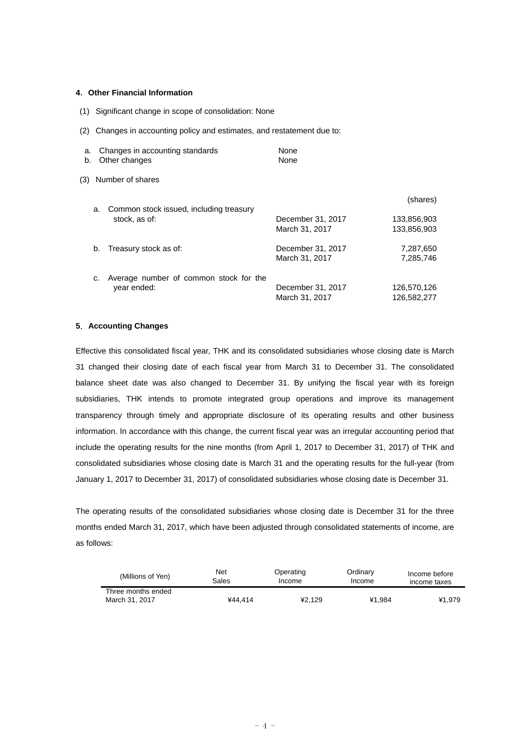#### **4**.**Other Financial Information**

- (1) Significant change in scope of consolidation: None
- (2) Changes in accounting policy and estimates, and restatement due to:

| a.<br>b. |    | Changes in accounting standards<br>Other changes | None<br>None      |             |
|----------|----|--------------------------------------------------|-------------------|-------------|
| (3)      |    | Number of shares                                 |                   |             |
|          | a. | Common stock issued, including treasury          |                   | (shares)    |
|          |    | stock, as of:                                    | December 31, 2017 | 133,856,903 |
|          |    |                                                  | March 31, 2017    | 133.856.903 |
|          | b. | Treasury stock as of:                            | December 31, 2017 | 7,287,650   |
|          |    |                                                  | March 31, 2017    | 7.285.746   |
|          | c. | Average number of common stock for the           |                   |             |
|          |    | year ended:                                      | December 31, 2017 | 126,570,126 |
|          |    |                                                  | March 31, 2017    | 126.582.277 |

#### **5**.**Accounting Changes**

Effective this consolidated fiscal year, THK and its consolidated subsidiaries whose closing date is March 31 changed their closing date of each fiscal year from March 31 to December 31. The consolidated balance sheet date was also changed to December 31. By unifying the fiscal year with its foreign subsidiaries, THK intends to promote integrated group operations and improve its management transparency through timely and appropriate disclosure of its operating results and other business information. In accordance with this change, the current fiscal year was an irregular accounting period that include the operating results for the nine months (from April 1, 2017 to December 31, 2017) of THK and consolidated subsidiaries whose closing date is March 31 and the operating results for the full-year (from January 1, 2017 to December 31, 2017) of consolidated subsidiaries whose closing date is December 31.

The operating results of the consolidated subsidiaries whose closing date is December 31 for the three months ended March 31, 2017, which have been adjusted through consolidated statements of income, are as follows:

| (Millions of Yen)                    | <b>Net</b><br>Operating<br>Sales<br>Income |        | Ordinary<br>Income | Income before<br>income taxes |
|--------------------------------------|--------------------------------------------|--------|--------------------|-------------------------------|
| Three months ended<br>March 31, 2017 | ¥44.414                                    | ¥2.129 | ¥1.984             | ¥1.979                        |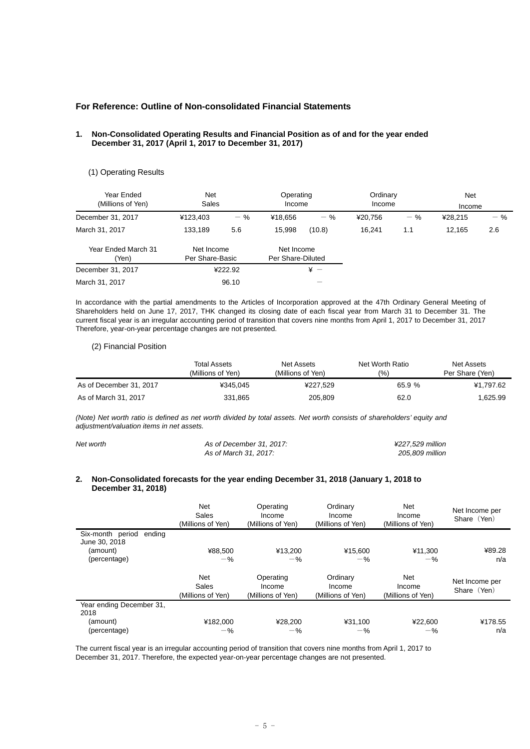## **For Reference: Outline of Non-consolidated Financial Statements**

#### **1. Non-Consolidated Operating Results and Financial Position as of and for the year ended December 31, 2017 (April 1, 2017 to December 31, 2017)**

#### (1) Operating Results

| Year Ended<br>(Millions of Yen) | <b>Net</b><br>Sales           |         | Operating<br>Income             |        | Ordinary<br>Income |       | Net<br>Income |       |
|---------------------------------|-------------------------------|---------|---------------------------------|--------|--------------------|-------|---------------|-------|
| December 31, 2017               | ¥123,403                      | $-$ %   | ¥18.656                         | $-$ %  | ¥20.756            | $-$ % | ¥28.215       | $-$ % |
| March 31, 2017                  | 133,189                       | 5.6     | 15,998                          | (10.8) | 16.241             | 1.1   | 12.165        | 2.6   |
| Year Ended March 31<br>'Yen)    | Net Income<br>Per Share-Basic |         | Net Income<br>Per Share-Diluted |        |                    |       |               |       |
| December 31, 2017               |                               | ¥222.92 | $\frac{1}{2}$ $-$               |        |                    |       |               |       |
| March 31, 2017                  |                               | 96.10   |                                 |        |                    |       |               |       |

In accordance with the partial amendments to the Articles of Incorporation approved at the 47th Ordinary General Meeting of Shareholders held on June 17, 2017, THK changed its closing date of each fiscal year from March 31 to December 31. The current fiscal year is an irregular accounting period of transition that covers nine months from April 1, 2017 to December 31, 2017 Therefore, year-on-year percentage changes are not presented.

#### (2) Financial Position

|                         | Total Assets      | Net Assets         | Net Worth Ratio | Net Assets      |
|-------------------------|-------------------|--------------------|-----------------|-----------------|
|                         | (Millions of Yen) | (Millions of Yen). | (9/0)           | Per Share (Yen) |
| As of December 31, 2017 | ¥345.045          | ¥227,529           | 65.9%           | ¥1.797.62       |
| As of March 31, 2017    | 331,865           | 205,809            | 62.0            | .625.99         |

*(Note) Net worth ratio is defined as net worth divided by total assets. Net worth consists of shareholders' equity and adjustment/valuation items in net assets.* 

| Net worth | As of December 31, 2017: | ¥227.529 million |
|-----------|--------------------------|------------------|
|           | As of March 31, 2017:    | 205.809 million  |

#### **2. Non-Consolidated forecasts for the year ending December 31, 2018 (January 1, 2018 to December 31, 2018)**

|                                                                         | <b>Net</b><br>Sales<br>(Millions of Yen) | Operating<br>Income<br>(Millions of Yen) | Ordinary<br>Income<br>(Millions of Yen) | Net<br>Income<br>(Millions of Yen) | Net Income per<br>Share (Yen) |
|-------------------------------------------------------------------------|------------------------------------------|------------------------------------------|-----------------------------------------|------------------------------------|-------------------------------|
| Six-month period<br>ending<br>June 30, 2018<br>(amount)<br>(percentage) | ¥88.500<br>$-$ %                         | ¥13.200<br>$-$ %                         | ¥15,600<br>$-$ %                        | ¥11.300<br>$-$ %                   | ¥89.28<br>n/a                 |
|                                                                         | Net<br>Sales<br>(Millions of Yen)        | Operating<br>Income<br>(Millions of Yen) | Ordinary<br>Income<br>(Millions of Yen) | Net<br>Income<br>(Millions of Yen) | Net Income per<br>Share (Yen) |
| Year ending December 31,<br>2018<br>(amount)<br>(percentage)            | ¥182,000<br>$-$ %                        | ¥28,200<br>$-\%$                         | ¥31,100<br>$-$ %                        | ¥22,600<br>$-$ %                   | ¥178.55<br>n/a                |

The current fiscal year is an irregular accounting period of transition that covers nine months from April 1, 2017 to December 31, 2017. Therefore, the expected year-on-year percentage changes are not presented.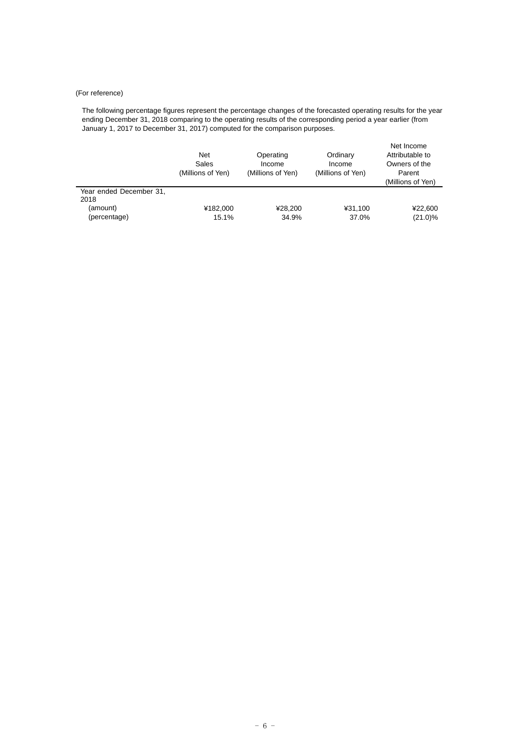### (For reference)

The following percentage figures represent the percentage changes of the forecasted operating results for the year ending December 31, 2018 comparing to the operating results of the corresponding period a year earlier (from January 1, 2017 to December 31, 2017) computed for the comparison purposes.

|                                 | <b>Net</b><br>Sales<br>(Millions of Yen) | Operating<br>Income<br>(Millions of Yen) | Ordinary<br>Income<br>(Millions of Yen) | Net Income<br>Attributable to<br>Owners of the<br>Parent<br>(Millions of Yen) |
|---------------------------------|------------------------------------------|------------------------------------------|-----------------------------------------|-------------------------------------------------------------------------------|
| Year ended December 31,<br>2018 |                                          |                                          |                                         |                                                                               |
| (amount)<br>(percentage)        | ¥182,000<br>15.1%                        | ¥28,200<br>34.9%                         | ¥31.100<br>37.0%                        | ¥22,600<br>$(21.0)\%$                                                         |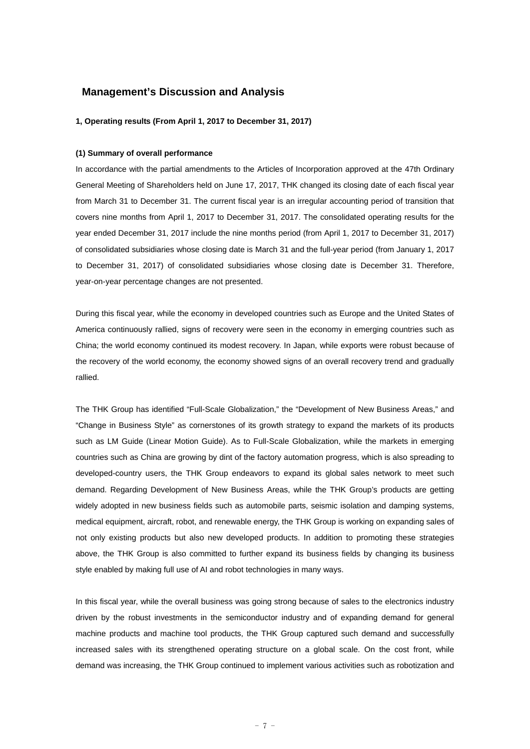## **Management's Discussion and Analysis**

#### **1, Operating results (From April 1, 2017 to December 31, 2017)**

#### **(1) Summary of overall performance**

In accordance with the partial amendments to the Articles of Incorporation approved at the 47th Ordinary General Meeting of Shareholders held on June 17, 2017, THK changed its closing date of each fiscal year from March 31 to December 31. The current fiscal year is an irregular accounting period of transition that covers nine months from April 1, 2017 to December 31, 2017. The consolidated operating results for the year ended December 31, 2017 include the nine months period (from April 1, 2017 to December 31, 2017) of consolidated subsidiaries whose closing date is March 31 and the full-year period (from January 1, 2017 to December 31, 2017) of consolidated subsidiaries whose closing date is December 31. Therefore, year-on-year percentage changes are not presented.

During this fiscal year, while the economy in developed countries such as Europe and the United States of America continuously rallied, signs of recovery were seen in the economy in emerging countries such as China; the world economy continued its modest recovery. In Japan, while exports were robust because of the recovery of the world economy, the economy showed signs of an overall recovery trend and gradually rallied.

The THK Group has identified "Full-Scale Globalization," the "Development of New Business Areas," and "Change in Business Style" as cornerstones of its growth strategy to expand the markets of its products such as LM Guide (Linear Motion Guide). As to Full-Scale Globalization, while the markets in emerging countries such as China are growing by dint of the factory automation progress, which is also spreading to developed-country users, the THK Group endeavors to expand its global sales network to meet such demand. Regarding Development of New Business Areas, while the THK Group's products are getting widely adopted in new business fields such as automobile parts, seismic isolation and damping systems, medical equipment, aircraft, robot, and renewable energy, the THK Group is working on expanding sales of not only existing products but also new developed products. In addition to promoting these strategies above, the THK Group is also committed to further expand its business fields by changing its business style enabled by making full use of AI and robot technologies in many ways.

In this fiscal year, while the overall business was going strong because of sales to the electronics industry driven by the robust investments in the semiconductor industry and of expanding demand for general machine products and machine tool products, the THK Group captured such demand and successfully increased sales with its strengthened operating structure on a global scale. On the cost front, while demand was increasing, the THK Group continued to implement various activities such as robotization and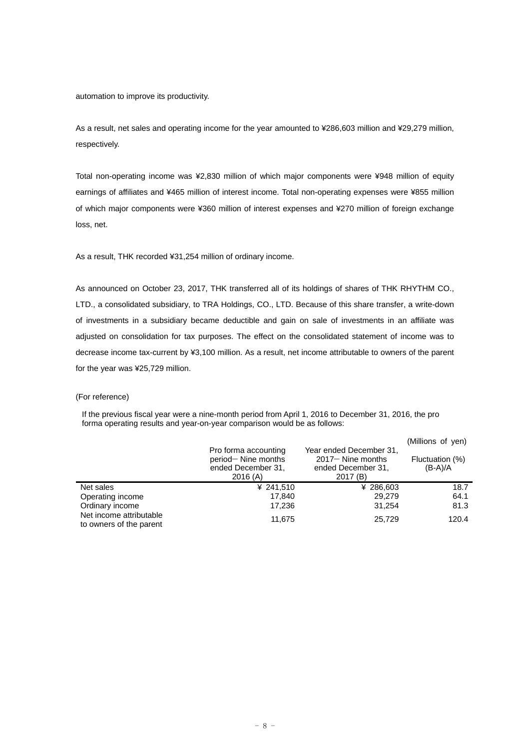automation to improve its productivity.

As a result, net sales and operating income for the year amounted to ¥286,603 million and ¥29,279 million, respectively.

Total non-operating income was ¥2,830 million of which major components were ¥948 million of equity earnings of affiliates and ¥465 million of interest income. Total non-operating expenses were ¥855 million of which major components were ¥360 million of interest expenses and ¥270 million of foreign exchange loss, net.

As a result, THK recorded ¥31,254 million of ordinary income.

As announced on October 23, 2017, THK transferred all of its holdings of shares of THK RHYTHM CO., LTD., a consolidated subsidiary, to TRA Holdings, CO., LTD. Because of this share transfer, a write-down of investments in a subsidiary became deductible and gain on sale of investments in an affiliate was adjusted on consolidation for tax purposes. The effect on the consolidated statement of income was to decrease income tax-current by ¥3,100 million. As a result, net income attributable to owners of the parent for the year was ¥25,729 million.

#### (For reference)

If the previous fiscal year were a nine-month period from April 1, 2016 to December 31, 2016, the pro forma operating results and year-on-year comparison would be as follows:

|                                                    | Pro forma accounting<br>period-Nine months<br>ended December 31.<br>2016(A) | Year ended December 31,<br>$2017 -$ Nine months<br>ended December 31.<br>2017(B) | (Millions of yen)<br>Fluctuation (%)<br>$(B-A)/A$ |
|----------------------------------------------------|-----------------------------------------------------------------------------|----------------------------------------------------------------------------------|---------------------------------------------------|
| Net sales                                          | ¥ 241,510                                                                   | ¥ 286,603                                                                        | 18.7                                              |
| Operating income                                   | 17.840                                                                      | 29.279                                                                           | 64.1                                              |
| Ordinary income                                    | 17.236                                                                      | 31.254                                                                           | 81.3                                              |
| Net income attributable<br>to owners of the parent | 11.675                                                                      | 25,729                                                                           | 120.4                                             |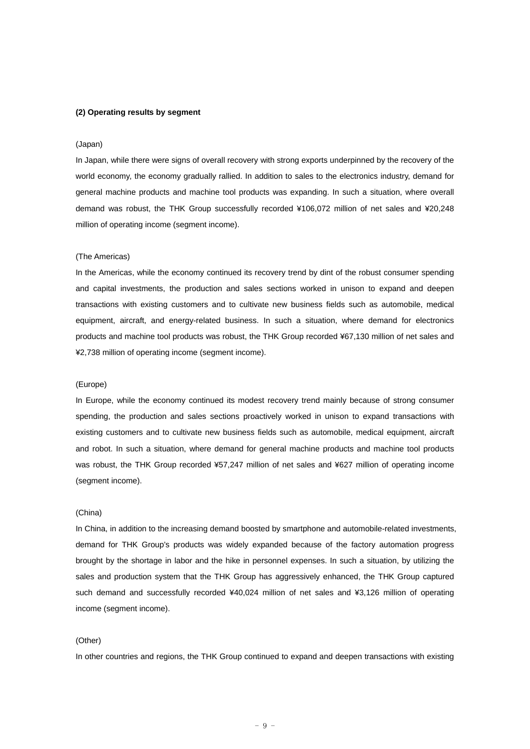#### **(2) Operating results by segment**

#### (Japan)

In Japan, while there were signs of overall recovery with strong exports underpinned by the recovery of the world economy, the economy gradually rallied. In addition to sales to the electronics industry, demand for general machine products and machine tool products was expanding. In such a situation, where overall demand was robust, the THK Group successfully recorded ¥106,072 million of net sales and ¥20,248 million of operating income (segment income).

#### (The Americas)

In the Americas, while the economy continued its recovery trend by dint of the robust consumer spending and capital investments, the production and sales sections worked in unison to expand and deepen transactions with existing customers and to cultivate new business fields such as automobile, medical equipment, aircraft, and energy-related business. In such a situation, where demand for electronics products and machine tool products was robust, the THK Group recorded ¥67,130 million of net sales and ¥2,738 million of operating income (segment income).

#### (Europe)

In Europe, while the economy continued its modest recovery trend mainly because of strong consumer spending, the production and sales sections proactively worked in unison to expand transactions with existing customers and to cultivate new business fields such as automobile, medical equipment, aircraft and robot. In such a situation, where demand for general machine products and machine tool products was robust, the THK Group recorded ¥57,247 million of net sales and ¥627 million of operating income (segment income).

#### (China)

In China, in addition to the increasing demand boosted by smartphone and automobile-related investments, demand for THK Group's products was widely expanded because of the factory automation progress brought by the shortage in labor and the hike in personnel expenses. In such a situation, by utilizing the sales and production system that the THK Group has aggressively enhanced, the THK Group captured such demand and successfully recorded ¥40,024 million of net sales and ¥3,126 million of operating income (segment income).

#### (Other)

In other countries and regions, the THK Group continued to expand and deepen transactions with existing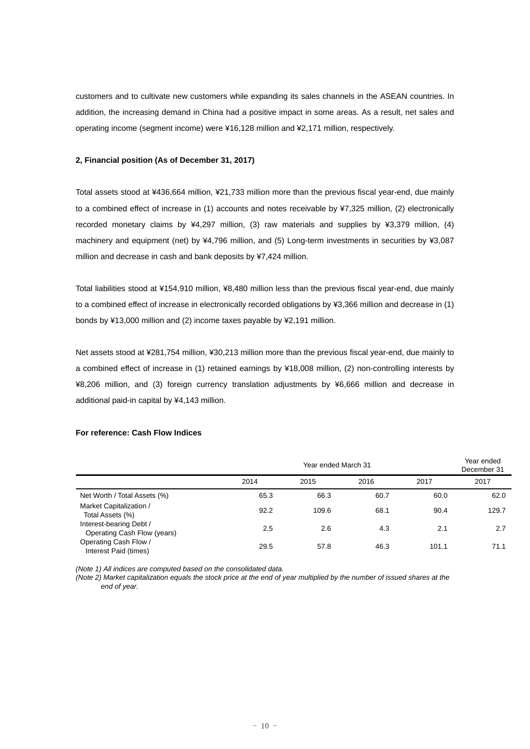customers and to cultivate new customers while expanding its sales channels in the ASEAN countries. In addition, the increasing demand in China had a positive impact in some areas. As a result, net sales and operating income (segment income) were ¥16,128 million and ¥2,171 million, respectively.

#### **2, Financial position (As of December 31, 2017)**

Total assets stood at ¥436,664 million, ¥21,733 million more than the previous fiscal year-end, due mainly to a combined effect of increase in (1) accounts and notes receivable by ¥7,325 million, (2) electronically recorded monetary claims by ¥4,297 million, (3) raw materials and supplies by ¥3,379 million, (4) machinery and equipment (net) by ¥4,796 million, and (5) Long-term investments in securities by ¥3,087 million and decrease in cash and bank deposits by ¥7,424 million.

Total liabilities stood at ¥154,910 million, ¥8,480 million less than the previous fiscal year-end, due mainly to a combined effect of increase in electronically recorded obligations by ¥3,366 million and decrease in (1) bonds by ¥13,000 million and (2) income taxes payable by ¥2,191 million.

Net assets stood at ¥281,754 million, ¥30,213 million more than the previous fiscal year-end, due mainly to a combined effect of increase in (1) retained earnings by ¥18,008 million, (2) non-controlling interests by ¥8,206 million, and (3) foreign currency translation adjustments by ¥6,666 million and decrease in additional paid-in capital by ¥4,143 million.

|                                                        | Year ended March 31 |       |      |       | Year ended<br>December 31 |
|--------------------------------------------------------|---------------------|-------|------|-------|---------------------------|
|                                                        | 2014                | 2015  | 2016 | 2017  | 2017                      |
| Net Worth / Total Assets (%)                           | 65.3                | 66.3  | 60.7 | 60.0  | 62.0                      |
| Market Capitalization /<br>Total Assets (%)            | 92.2                | 109.6 | 68.1 | 90.4  | 129.7                     |
| Interest-bearing Debt /<br>Operating Cash Flow (years) | 2.5                 | 2.6   | 4.3  | 2.1   | 2.7                       |
| Operating Cash Flow /<br>Interest Paid (times)         | 29.5                | 57.8  | 46.3 | 101.1 | 71.1                      |

# **For reference: Cash Flow Indices**

*(Note 1) All indices are computed based on the consolidated data.* 

*(Note 2) Market capitalization equals the stock price at the end of year multiplied by the number of issued shares at the end of year.*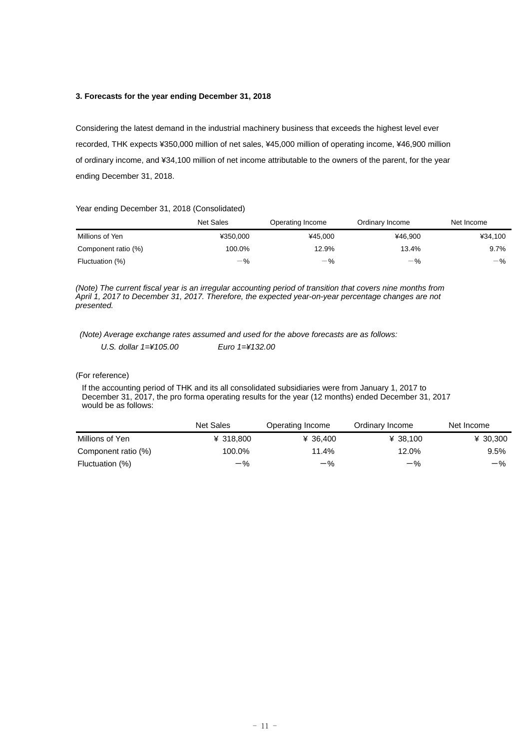### **3. Forecasts for the year ending December 31, 2018**

Considering the latest demand in the industrial machinery business that exceeds the highest level ever recorded, THK expects ¥350,000 million of net sales, ¥45,000 million of operating income, ¥46,900 million of ordinary income, and ¥34,100 million of net income attributable to the owners of the parent, for the year ending December 31, 2018.

#### Year ending December 31, 2018 (Consolidated)

|                     | <b>Net Sales</b> | Operating Income | Ordinary Income | Net Income |
|---------------------|------------------|------------------|-----------------|------------|
| Millions of Yen     | ¥350.000         | ¥45.000          | ¥46.900         | ¥34.100    |
| Component ratio (%) | 100.0%           | 12.9%            | 13.4%           | 9.7%       |
| Fluctuation (%)     | $-$ %            | $-$ %            | $-$ %           | $-$ %      |

*(Note) The current fiscal year is an irregular accounting period of transition that covers nine months from April 1, 2017 to December 31, 2017. Therefore, the expected year-on-year percentage changes are not presented.* 

 *(Note) Average exchange rates assumed and used for the above forecasts are as follows:* 

*U.S. dollar 1=¥105.00 Euro 1=¥132.00* 

#### (For reference)

If the accounting period of THK and its all consolidated subsidiaries were from January 1, 2017 to December 31, 2017, the pro forma operating results for the year (12 months) ended December 31, 2017 would be as follows:

|                     | Net Sales | Operating Income | Ordinary Income | Net Income |
|---------------------|-----------|------------------|-----------------|------------|
| Millions of Yen     | ¥ 318,800 | ¥ 36.400         | ¥ 38.100        | ¥ 30,300   |
| Component ratio (%) | 100.0%    | 11.4%            | 12.0%           | 9.5%       |
| Fluctuation (%)     | $-$ %     | $-$ %            | $-$ %           | $-$ %      |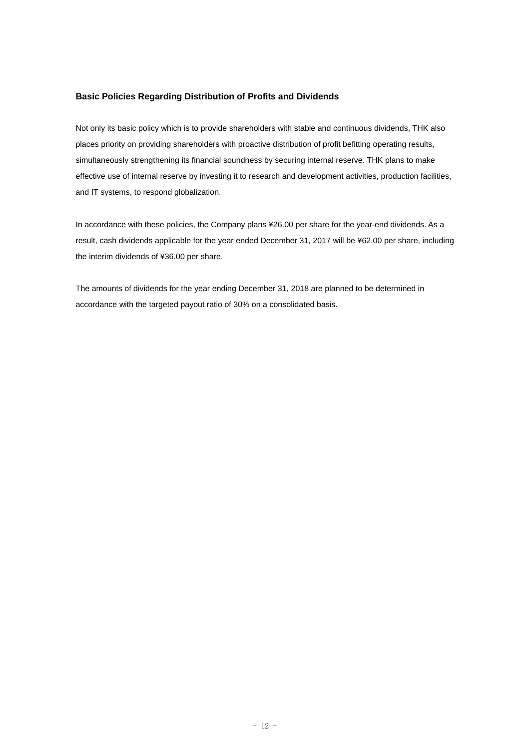### **Basic Policies Regarding Distribution of Profits and Dividends**

Not only its basic policy which is to provide shareholders with stable and continuous dividends, THK also places priority on providing shareholders with proactive distribution of profit befitting operating results, simultaneously strengthening its financial soundness by securing internal reserve. THK plans to make effective use of internal reserve by investing it to research and development activities, production facilities, and IT systems, to respond globalization.

In accordance with these policies, the Company plans ¥26.00 per share for the year-end dividends. As a result, cash dividends applicable for the year ended December 31, 2017 will be ¥62.00 per share, including the interim dividends of ¥36.00 per share.

The amounts of dividends for the year ending December 31, 2018 are planned to be determined in accordance with the targeted payout ratio of 30% on a consolidated basis.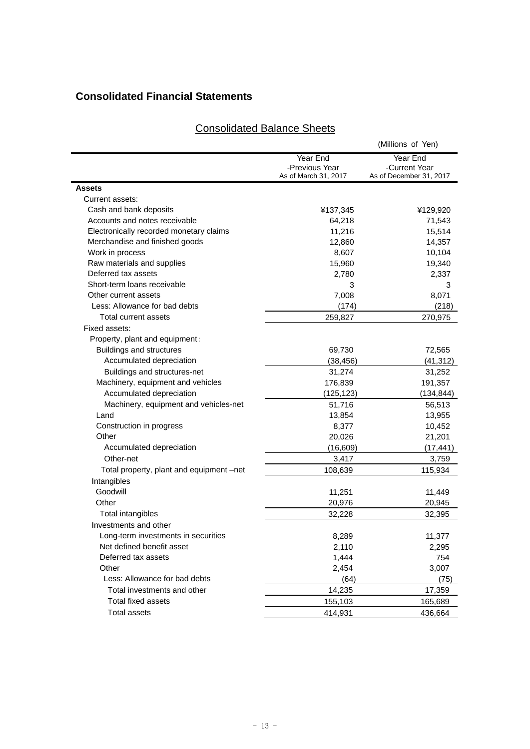# **Consolidated Financial Statements**

## (Millions of Yen) Year End -Previous Year<br>As of March 31, 2017 Year End -Current Year As of December 31, 2017 **Assets**  Current assets: Cash and bank deposits ¥137,345 ¥129,920 Accounts and notes receivable 64,218 64,218 71,543 Electronically recorded monetary claims 11,216 15,514 Merchandise and finished goods 12,860 12,860 14,357 Work in process and the set of the set of the set of the set of the set of the set of the set of the set of the set of the set of the set of the set of the set of the set of the set of the set of the set of the set of the Raw materials and supplies 15,960 19,340 Deferred tax assets 2,780 2,337 Short-term loans receivable 3 3 Other current assets 8.071 Less: Allowance for bad debts (174) (218) Total current assets 259,827 270,975 Fixed assets: Property, plant and equipment: Buildings and structures 69,730 72,565 Accumulated depreciation  $(38,456)$  (41,312) Buildings and structures-net 31,274 31,252 Machinery, equipment and vehicles 176,839 191,357 Accumulated depreciation (125,123) (134,844) Machinery, equipment and vehicles-net 51,716 56,513 Land 13,854 13,955 Construction in progress 8,377 10,452 Other 20,026 21,201 Accumulated depreciation (16,609) (17,441) Other-net 3,417 3,759 Total property, plant and equipment –net 108,639 115,934 Intangibles Goodwill 11,251 11,449 Other 20,945 20,976 20,945 Total intangibles 32,228 32,395 Investments and other Long-term investments in securities 11,377 11,377 Net defined benefit asset 1992 10 2,295 Deferred tax assets The contract of the contract of the contract of the contract of the contract of the contract of the contract of the contract of the contract of the contract of the contract of the contract of the contra Other 2,454 3,007 Less: Allowance for bad debts (64) (75) Total investments and other 14,235 17,359 Total fixed assets 155,103 165,689

# Consolidated Balance Sheets

Total assets 414,931 436,664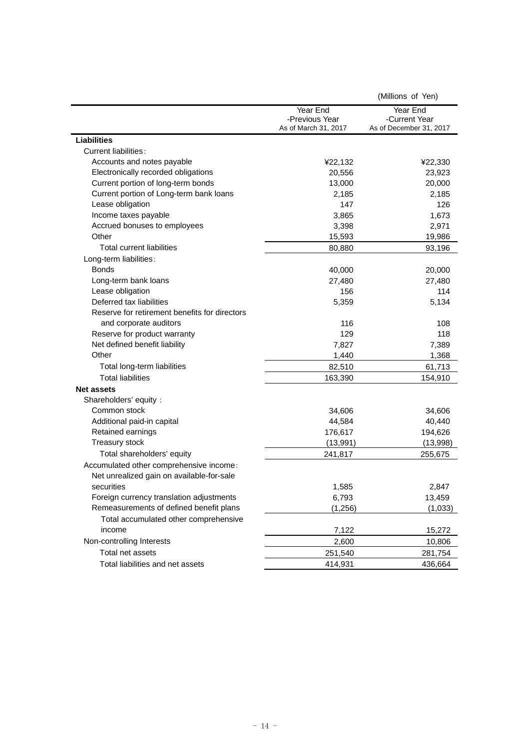| Year End<br>Year End<br>-Current Year<br>-Previous Year<br>As of March 31, 2017<br>As of December 31, 2017<br><b>Liabilities</b><br>Current liabilities:<br>Accounts and notes payable<br>¥22,132<br>¥22,330<br>Electronically recorded obligations<br>20,556<br>23,923<br>Current portion of long-term bonds<br>13,000<br>20,000<br>Current portion of Long-term bank loans<br>2,185<br>2,185<br>Lease obligation<br>126<br>147<br>Income taxes payable<br>3,865<br>1,673<br>Accrued bonuses to employees<br>2,971<br>3,398<br>Other<br>15,593<br>19,986<br>Total current liabilities<br>93,196<br>80,880<br>Long-term liabilities:<br><b>Bonds</b><br>40,000<br>20,000<br>Long-term bank loans<br>27,480<br>27,480<br>Lease obligation<br>114<br>156<br>Deferred tax liabilities<br>5,359<br>5,134<br>Reserve for retirement benefits for directors<br>and corporate auditors<br>108<br>116<br>Reserve for product warranty<br>129<br>118<br>Net defined benefit liability<br>7,827<br>7,389<br>Other<br>1,440<br>1,368<br>82,510<br>61,713<br>Total long-term liabilities<br><b>Total liabilities</b><br>163,390<br>154,910<br><b>Net assets</b><br>Shareholders' equity:<br>Common stock<br>34,606<br>34,606<br>Additional paid-in capital<br>44,584<br>40,440<br>Retained earnings<br>176,617<br>194,626<br>Treasury stock<br>(13,991)<br>(13,998)<br>Total shareholders' equity<br>255,675<br>241,817<br>Accumulated other comprehensive income:<br>Net unrealized gain on available-for-sale<br>securities<br>1,585<br>2,847<br>Foreign currency translation adjustments<br>6,793<br>13,459<br>Remeasurements of defined benefit plans<br>(1,256)<br>(1,033)<br>Total accumulated other comprehensive<br>income<br>7,122<br>15,272<br>Non-controlling Interests<br>2,600<br>10,806<br>Total net assets<br>251,540<br>281,754 |  | (Millions of Yen) |
|-------------------------------------------------------------------------------------------------------------------------------------------------------------------------------------------------------------------------------------------------------------------------------------------------------------------------------------------------------------------------------------------------------------------------------------------------------------------------------------------------------------------------------------------------------------------------------------------------------------------------------------------------------------------------------------------------------------------------------------------------------------------------------------------------------------------------------------------------------------------------------------------------------------------------------------------------------------------------------------------------------------------------------------------------------------------------------------------------------------------------------------------------------------------------------------------------------------------------------------------------------------------------------------------------------------------------------------------------------------------------------------------------------------------------------------------------------------------------------------------------------------------------------------------------------------------------------------------------------------------------------------------------------------------------------------------------------------------------------------------------------------------------------------------------------------------------------------|--|-------------------|
|                                                                                                                                                                                                                                                                                                                                                                                                                                                                                                                                                                                                                                                                                                                                                                                                                                                                                                                                                                                                                                                                                                                                                                                                                                                                                                                                                                                                                                                                                                                                                                                                                                                                                                                                                                                                                                     |  |                   |
|                                                                                                                                                                                                                                                                                                                                                                                                                                                                                                                                                                                                                                                                                                                                                                                                                                                                                                                                                                                                                                                                                                                                                                                                                                                                                                                                                                                                                                                                                                                                                                                                                                                                                                                                                                                                                                     |  |                   |
|                                                                                                                                                                                                                                                                                                                                                                                                                                                                                                                                                                                                                                                                                                                                                                                                                                                                                                                                                                                                                                                                                                                                                                                                                                                                                                                                                                                                                                                                                                                                                                                                                                                                                                                                                                                                                                     |  |                   |
|                                                                                                                                                                                                                                                                                                                                                                                                                                                                                                                                                                                                                                                                                                                                                                                                                                                                                                                                                                                                                                                                                                                                                                                                                                                                                                                                                                                                                                                                                                                                                                                                                                                                                                                                                                                                                                     |  |                   |
|                                                                                                                                                                                                                                                                                                                                                                                                                                                                                                                                                                                                                                                                                                                                                                                                                                                                                                                                                                                                                                                                                                                                                                                                                                                                                                                                                                                                                                                                                                                                                                                                                                                                                                                                                                                                                                     |  |                   |
|                                                                                                                                                                                                                                                                                                                                                                                                                                                                                                                                                                                                                                                                                                                                                                                                                                                                                                                                                                                                                                                                                                                                                                                                                                                                                                                                                                                                                                                                                                                                                                                                                                                                                                                                                                                                                                     |  |                   |
|                                                                                                                                                                                                                                                                                                                                                                                                                                                                                                                                                                                                                                                                                                                                                                                                                                                                                                                                                                                                                                                                                                                                                                                                                                                                                                                                                                                                                                                                                                                                                                                                                                                                                                                                                                                                                                     |  |                   |
|                                                                                                                                                                                                                                                                                                                                                                                                                                                                                                                                                                                                                                                                                                                                                                                                                                                                                                                                                                                                                                                                                                                                                                                                                                                                                                                                                                                                                                                                                                                                                                                                                                                                                                                                                                                                                                     |  |                   |
|                                                                                                                                                                                                                                                                                                                                                                                                                                                                                                                                                                                                                                                                                                                                                                                                                                                                                                                                                                                                                                                                                                                                                                                                                                                                                                                                                                                                                                                                                                                                                                                                                                                                                                                                                                                                                                     |  |                   |
|                                                                                                                                                                                                                                                                                                                                                                                                                                                                                                                                                                                                                                                                                                                                                                                                                                                                                                                                                                                                                                                                                                                                                                                                                                                                                                                                                                                                                                                                                                                                                                                                                                                                                                                                                                                                                                     |  |                   |
|                                                                                                                                                                                                                                                                                                                                                                                                                                                                                                                                                                                                                                                                                                                                                                                                                                                                                                                                                                                                                                                                                                                                                                                                                                                                                                                                                                                                                                                                                                                                                                                                                                                                                                                                                                                                                                     |  |                   |
|                                                                                                                                                                                                                                                                                                                                                                                                                                                                                                                                                                                                                                                                                                                                                                                                                                                                                                                                                                                                                                                                                                                                                                                                                                                                                                                                                                                                                                                                                                                                                                                                                                                                                                                                                                                                                                     |  |                   |
|                                                                                                                                                                                                                                                                                                                                                                                                                                                                                                                                                                                                                                                                                                                                                                                                                                                                                                                                                                                                                                                                                                                                                                                                                                                                                                                                                                                                                                                                                                                                                                                                                                                                                                                                                                                                                                     |  |                   |
|                                                                                                                                                                                                                                                                                                                                                                                                                                                                                                                                                                                                                                                                                                                                                                                                                                                                                                                                                                                                                                                                                                                                                                                                                                                                                                                                                                                                                                                                                                                                                                                                                                                                                                                                                                                                                                     |  |                   |
|                                                                                                                                                                                                                                                                                                                                                                                                                                                                                                                                                                                                                                                                                                                                                                                                                                                                                                                                                                                                                                                                                                                                                                                                                                                                                                                                                                                                                                                                                                                                                                                                                                                                                                                                                                                                                                     |  |                   |
|                                                                                                                                                                                                                                                                                                                                                                                                                                                                                                                                                                                                                                                                                                                                                                                                                                                                                                                                                                                                                                                                                                                                                                                                                                                                                                                                                                                                                                                                                                                                                                                                                                                                                                                                                                                                                                     |  |                   |
|                                                                                                                                                                                                                                                                                                                                                                                                                                                                                                                                                                                                                                                                                                                                                                                                                                                                                                                                                                                                                                                                                                                                                                                                                                                                                                                                                                                                                                                                                                                                                                                                                                                                                                                                                                                                                                     |  |                   |
|                                                                                                                                                                                                                                                                                                                                                                                                                                                                                                                                                                                                                                                                                                                                                                                                                                                                                                                                                                                                                                                                                                                                                                                                                                                                                                                                                                                                                                                                                                                                                                                                                                                                                                                                                                                                                                     |  |                   |
|                                                                                                                                                                                                                                                                                                                                                                                                                                                                                                                                                                                                                                                                                                                                                                                                                                                                                                                                                                                                                                                                                                                                                                                                                                                                                                                                                                                                                                                                                                                                                                                                                                                                                                                                                                                                                                     |  |                   |
|                                                                                                                                                                                                                                                                                                                                                                                                                                                                                                                                                                                                                                                                                                                                                                                                                                                                                                                                                                                                                                                                                                                                                                                                                                                                                                                                                                                                                                                                                                                                                                                                                                                                                                                                                                                                                                     |  |                   |
|                                                                                                                                                                                                                                                                                                                                                                                                                                                                                                                                                                                                                                                                                                                                                                                                                                                                                                                                                                                                                                                                                                                                                                                                                                                                                                                                                                                                                                                                                                                                                                                                                                                                                                                                                                                                                                     |  |                   |
|                                                                                                                                                                                                                                                                                                                                                                                                                                                                                                                                                                                                                                                                                                                                                                                                                                                                                                                                                                                                                                                                                                                                                                                                                                                                                                                                                                                                                                                                                                                                                                                                                                                                                                                                                                                                                                     |  |                   |
|                                                                                                                                                                                                                                                                                                                                                                                                                                                                                                                                                                                                                                                                                                                                                                                                                                                                                                                                                                                                                                                                                                                                                                                                                                                                                                                                                                                                                                                                                                                                                                                                                                                                                                                                                                                                                                     |  |                   |
|                                                                                                                                                                                                                                                                                                                                                                                                                                                                                                                                                                                                                                                                                                                                                                                                                                                                                                                                                                                                                                                                                                                                                                                                                                                                                                                                                                                                                                                                                                                                                                                                                                                                                                                                                                                                                                     |  |                   |
|                                                                                                                                                                                                                                                                                                                                                                                                                                                                                                                                                                                                                                                                                                                                                                                                                                                                                                                                                                                                                                                                                                                                                                                                                                                                                                                                                                                                                                                                                                                                                                                                                                                                                                                                                                                                                                     |  |                   |
|                                                                                                                                                                                                                                                                                                                                                                                                                                                                                                                                                                                                                                                                                                                                                                                                                                                                                                                                                                                                                                                                                                                                                                                                                                                                                                                                                                                                                                                                                                                                                                                                                                                                                                                                                                                                                                     |  |                   |
|                                                                                                                                                                                                                                                                                                                                                                                                                                                                                                                                                                                                                                                                                                                                                                                                                                                                                                                                                                                                                                                                                                                                                                                                                                                                                                                                                                                                                                                                                                                                                                                                                                                                                                                                                                                                                                     |  |                   |
|                                                                                                                                                                                                                                                                                                                                                                                                                                                                                                                                                                                                                                                                                                                                                                                                                                                                                                                                                                                                                                                                                                                                                                                                                                                                                                                                                                                                                                                                                                                                                                                                                                                                                                                                                                                                                                     |  |                   |
|                                                                                                                                                                                                                                                                                                                                                                                                                                                                                                                                                                                                                                                                                                                                                                                                                                                                                                                                                                                                                                                                                                                                                                                                                                                                                                                                                                                                                                                                                                                                                                                                                                                                                                                                                                                                                                     |  |                   |
|                                                                                                                                                                                                                                                                                                                                                                                                                                                                                                                                                                                                                                                                                                                                                                                                                                                                                                                                                                                                                                                                                                                                                                                                                                                                                                                                                                                                                                                                                                                                                                                                                                                                                                                                                                                                                                     |  |                   |
|                                                                                                                                                                                                                                                                                                                                                                                                                                                                                                                                                                                                                                                                                                                                                                                                                                                                                                                                                                                                                                                                                                                                                                                                                                                                                                                                                                                                                                                                                                                                                                                                                                                                                                                                                                                                                                     |  |                   |
|                                                                                                                                                                                                                                                                                                                                                                                                                                                                                                                                                                                                                                                                                                                                                                                                                                                                                                                                                                                                                                                                                                                                                                                                                                                                                                                                                                                                                                                                                                                                                                                                                                                                                                                                                                                                                                     |  |                   |
|                                                                                                                                                                                                                                                                                                                                                                                                                                                                                                                                                                                                                                                                                                                                                                                                                                                                                                                                                                                                                                                                                                                                                                                                                                                                                                                                                                                                                                                                                                                                                                                                                                                                                                                                                                                                                                     |  |                   |
|                                                                                                                                                                                                                                                                                                                                                                                                                                                                                                                                                                                                                                                                                                                                                                                                                                                                                                                                                                                                                                                                                                                                                                                                                                                                                                                                                                                                                                                                                                                                                                                                                                                                                                                                                                                                                                     |  |                   |
|                                                                                                                                                                                                                                                                                                                                                                                                                                                                                                                                                                                                                                                                                                                                                                                                                                                                                                                                                                                                                                                                                                                                                                                                                                                                                                                                                                                                                                                                                                                                                                                                                                                                                                                                                                                                                                     |  |                   |
|                                                                                                                                                                                                                                                                                                                                                                                                                                                                                                                                                                                                                                                                                                                                                                                                                                                                                                                                                                                                                                                                                                                                                                                                                                                                                                                                                                                                                                                                                                                                                                                                                                                                                                                                                                                                                                     |  |                   |
|                                                                                                                                                                                                                                                                                                                                                                                                                                                                                                                                                                                                                                                                                                                                                                                                                                                                                                                                                                                                                                                                                                                                                                                                                                                                                                                                                                                                                                                                                                                                                                                                                                                                                                                                                                                                                                     |  |                   |
|                                                                                                                                                                                                                                                                                                                                                                                                                                                                                                                                                                                                                                                                                                                                                                                                                                                                                                                                                                                                                                                                                                                                                                                                                                                                                                                                                                                                                                                                                                                                                                                                                                                                                                                                                                                                                                     |  |                   |
|                                                                                                                                                                                                                                                                                                                                                                                                                                                                                                                                                                                                                                                                                                                                                                                                                                                                                                                                                                                                                                                                                                                                                                                                                                                                                                                                                                                                                                                                                                                                                                                                                                                                                                                                                                                                                                     |  |                   |
|                                                                                                                                                                                                                                                                                                                                                                                                                                                                                                                                                                                                                                                                                                                                                                                                                                                                                                                                                                                                                                                                                                                                                                                                                                                                                                                                                                                                                                                                                                                                                                                                                                                                                                                                                                                                                                     |  |                   |
|                                                                                                                                                                                                                                                                                                                                                                                                                                                                                                                                                                                                                                                                                                                                                                                                                                                                                                                                                                                                                                                                                                                                                                                                                                                                                                                                                                                                                                                                                                                                                                                                                                                                                                                                                                                                                                     |  |                   |
|                                                                                                                                                                                                                                                                                                                                                                                                                                                                                                                                                                                                                                                                                                                                                                                                                                                                                                                                                                                                                                                                                                                                                                                                                                                                                                                                                                                                                                                                                                                                                                                                                                                                                                                                                                                                                                     |  |                   |
| Total liabilities and net assets<br>414,931<br>436,664                                                                                                                                                                                                                                                                                                                                                                                                                                                                                                                                                                                                                                                                                                                                                                                                                                                                                                                                                                                                                                                                                                                                                                                                                                                                                                                                                                                                                                                                                                                                                                                                                                                                                                                                                                              |  |                   |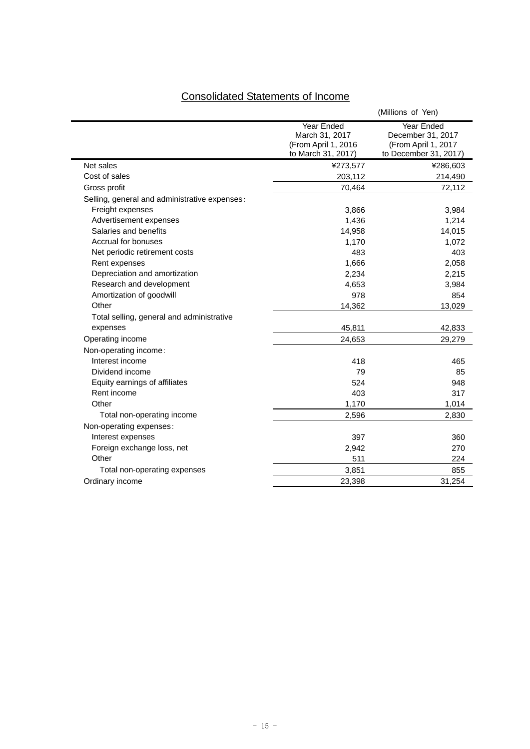| <b>Consolidated Statements of Income</b> |  |  |
|------------------------------------------|--|--|
|                                          |  |  |

|                                               |                                                                           | (Millions of Yen)                                                               |
|-----------------------------------------------|---------------------------------------------------------------------------|---------------------------------------------------------------------------------|
|                                               | Year Ended<br>March 31, 2017<br>(From April 1, 2016<br>to March 31, 2017) | Year Ended<br>December 31, 2017<br>(From April 1, 2017<br>to December 31, 2017) |
| Net sales                                     | ¥273,577                                                                  | ¥286,603                                                                        |
| Cost of sales                                 | 203,112                                                                   | 214,490                                                                         |
| Gross profit                                  | 70,464                                                                    | 72,112                                                                          |
| Selling, general and administrative expenses: |                                                                           |                                                                                 |
| Freight expenses                              | 3,866                                                                     | 3,984                                                                           |
| Advertisement expenses                        | 1,436                                                                     | 1,214                                                                           |
| Salaries and benefits                         | 14,958                                                                    | 14,015                                                                          |
| Accrual for bonuses                           | 1,170                                                                     | 1,072                                                                           |
| Net periodic retirement costs                 | 483                                                                       | 403                                                                             |
| Rent expenses                                 | 1,666                                                                     | 2,058                                                                           |
| Depreciation and amortization                 | 2,234                                                                     | 2,215                                                                           |
| Research and development                      | 4,653                                                                     | 3,984                                                                           |
| Amortization of goodwill                      | 978                                                                       | 854                                                                             |
| Other                                         | 14,362                                                                    | 13,029                                                                          |
| Total selling, general and administrative     |                                                                           |                                                                                 |
| expenses                                      | 45,811                                                                    | 42,833                                                                          |
| Operating income                              | 24,653                                                                    | 29,279                                                                          |
| Non-operating income:                         |                                                                           |                                                                                 |
| Interest income                               | 418                                                                       | 465                                                                             |
| Dividend income                               | 79                                                                        | 85                                                                              |
| Equity earnings of affiliates                 | 524                                                                       | 948                                                                             |
| Rent income                                   | 403                                                                       | 317                                                                             |
| Other                                         | 1,170                                                                     | 1,014                                                                           |
| Total non-operating income                    | 2,596                                                                     | 2,830                                                                           |
| Non-operating expenses:                       |                                                                           |                                                                                 |
| Interest expenses                             | 397                                                                       | 360                                                                             |
| Foreign exchange loss, net                    | 2,942                                                                     | 270                                                                             |
| Other                                         | 511                                                                       | 224                                                                             |
| Total non-operating expenses                  | 3,851                                                                     | 855                                                                             |
| Ordinary income                               | 23,398                                                                    | 31,254                                                                          |
|                                               |                                                                           |                                                                                 |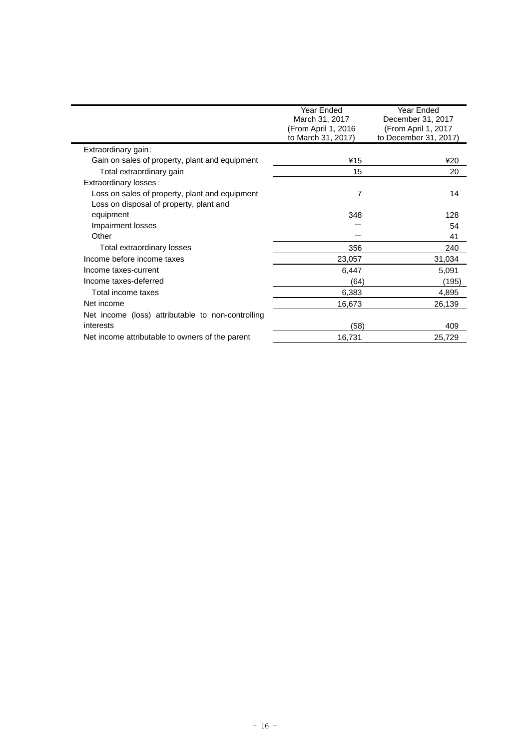|                                                   | Year Ended          | Year Ended            |
|---------------------------------------------------|---------------------|-----------------------|
|                                                   | March 31, 2017      | December 31, 2017     |
|                                                   | (From April 1, 2016 | (From April 1, 2017   |
|                                                   | to March 31, 2017)  | to December 31, 2017) |
| Extraordinary gain:                               |                     |                       |
| Gain on sales of property, plant and equipment    | ¥15                 | ¥20                   |
| Total extraordinary gain                          | 15                  | 20                    |
| Extraordinary losses:                             |                     |                       |
| Loss on sales of property, plant and equipment    | 7                   | 14                    |
| Loss on disposal of property, plant and           |                     |                       |
| equipment                                         | 348                 | 128                   |
| Impairment losses                                 |                     | 54                    |
| Other                                             |                     | 41                    |
| Total extraordinary losses                        | 356                 | 240                   |
| Income before income taxes                        | 23,057              | 31,034                |
| Income taxes-current                              | 6,447               | 5,091                 |
| Income taxes-deferred                             | (64)                | (195)                 |
| Total income taxes                                | 6,383               | 4,895                 |
| Net income                                        | 16,673              | 26,139                |
| Net income (loss) attributable to non-controlling |                     |                       |
| interests                                         | (58)                | 409                   |
| Net income attributable to owners of the parent   | 16,731              | 25,729                |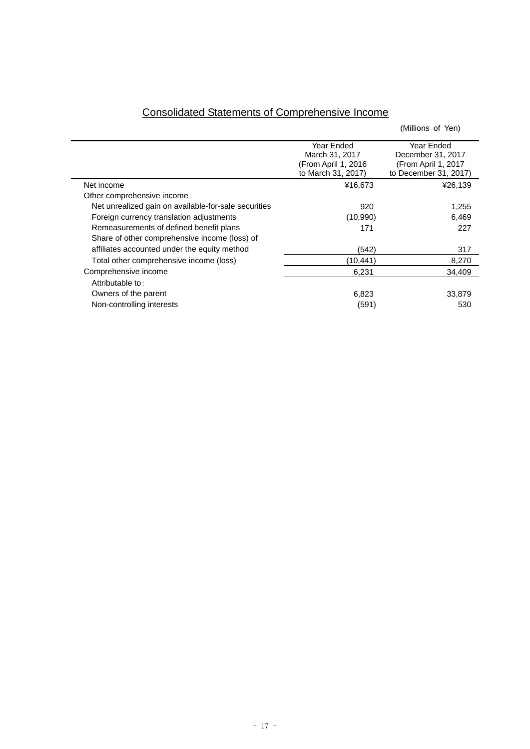|                                                      |                                                                           | (Millions of Yen)                                                               |
|------------------------------------------------------|---------------------------------------------------------------------------|---------------------------------------------------------------------------------|
|                                                      | Year Ended<br>March 31, 2017<br>(From April 1, 2016<br>to March 31, 2017) | Year Ended<br>December 31, 2017<br>(From April 1, 2017<br>to December 31, 2017) |
| Net income                                           | ¥16,673                                                                   | ¥26,139                                                                         |
| Other comprehensive income:                          |                                                                           |                                                                                 |
| Net unrealized gain on available-for-sale securities | 920                                                                       | 1,255                                                                           |
| Foreign currency translation adjustments             | (10,990)                                                                  | 6.469                                                                           |
| Remeasurements of defined benefit plans              | 171                                                                       | 227                                                                             |
| Share of other comprehensive income (loss) of        |                                                                           |                                                                                 |
| affiliates accounted under the equity method         | (542)                                                                     | 317                                                                             |
| Total other comprehensive income (loss)              | (10,441)                                                                  | 8,270                                                                           |
| Comprehensive income                                 | 6,231                                                                     | 34,409                                                                          |
| Attributable to:                                     |                                                                           |                                                                                 |
| Owners of the parent                                 | 6,823                                                                     | 33,879                                                                          |
| Non-controlling interests                            | (591)                                                                     | 530                                                                             |

# Consolidated Statements of Comprehensive Income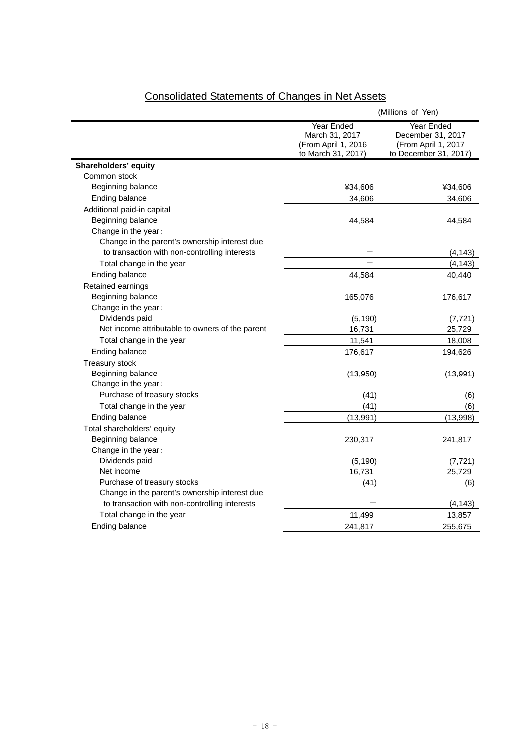|                                                 | (Millions of Yen)                                                         |                                                                                 |  |  |
|-------------------------------------------------|---------------------------------------------------------------------------|---------------------------------------------------------------------------------|--|--|
|                                                 | Year Ended<br>March 31, 2017<br>(From April 1, 2016<br>to March 31, 2017) | Year Ended<br>December 31, 2017<br>(From April 1, 2017<br>to December 31, 2017) |  |  |
| Shareholders' equity                            |                                                                           |                                                                                 |  |  |
| Common stock                                    |                                                                           |                                                                                 |  |  |
| Beginning balance                               | ¥34,606                                                                   | ¥34,606                                                                         |  |  |
| Ending balance                                  | 34,606                                                                    | 34,606                                                                          |  |  |
| Additional paid-in capital                      |                                                                           |                                                                                 |  |  |
| Beginning balance                               | 44,584                                                                    | 44,584                                                                          |  |  |
| Change in the year:                             |                                                                           |                                                                                 |  |  |
| Change in the parent's ownership interest due   |                                                                           |                                                                                 |  |  |
| to transaction with non-controlling interests   |                                                                           | (4, 143)                                                                        |  |  |
| Total change in the year                        |                                                                           | (4, 143)                                                                        |  |  |
| Ending balance                                  | 44,584                                                                    | 40,440                                                                          |  |  |
| Retained earnings                               |                                                                           |                                                                                 |  |  |
| Beginning balance                               | 165,076                                                                   | 176,617                                                                         |  |  |
| Change in the year:                             |                                                                           |                                                                                 |  |  |
| Dividends paid                                  | (5, 190)                                                                  | (7, 721)                                                                        |  |  |
| Net income attributable to owners of the parent | 16,731                                                                    | 25,729                                                                          |  |  |
| Total change in the year                        | 11,541                                                                    | 18,008                                                                          |  |  |
| Ending balance                                  | 176,617                                                                   | 194,626                                                                         |  |  |
| Treasury stock                                  |                                                                           |                                                                                 |  |  |
| Beginning balance                               | (13,950)                                                                  | (13,991)                                                                        |  |  |
| Change in the year:                             |                                                                           |                                                                                 |  |  |
| Purchase of treasury stocks                     | (41)                                                                      | (6)                                                                             |  |  |
| Total change in the year                        | (41)                                                                      | (6)                                                                             |  |  |
| Ending balance                                  | (13,991)                                                                  | (13,998)                                                                        |  |  |
| Total shareholders' equity                      |                                                                           |                                                                                 |  |  |
| Beginning balance                               | 230,317                                                                   | 241,817                                                                         |  |  |
| Change in the year:                             |                                                                           |                                                                                 |  |  |
| Dividends paid                                  | (5, 190)                                                                  | (7, 721)                                                                        |  |  |
| Net income                                      | 16,731                                                                    | 25,729                                                                          |  |  |
| Purchase of treasury stocks                     | (41)                                                                      | (6)                                                                             |  |  |
| Change in the parent's ownership interest due   |                                                                           |                                                                                 |  |  |
| to transaction with non-controlling interests   |                                                                           | (4, 143)                                                                        |  |  |
| Total change in the year                        | 11,499                                                                    | 13,857                                                                          |  |  |
| Ending balance                                  | 241,817                                                                   | 255,675                                                                         |  |  |

# Consolidated Statements of Changes in Net Assets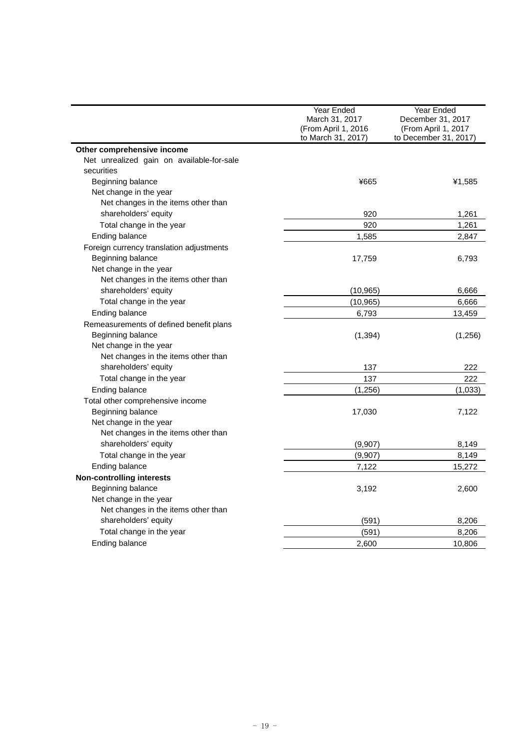|                                           | Year Ended<br>March 31, 2017<br>(From April 1, 2016<br>to March 31, 2017) | <b>Year Ended</b><br>December 31, 2017<br>(From April 1, 2017<br>to December 31, 2017) |  |
|-------------------------------------------|---------------------------------------------------------------------------|----------------------------------------------------------------------------------------|--|
| Other comprehensive income                |                                                                           |                                                                                        |  |
| Net unrealized gain on available-for-sale |                                                                           |                                                                                        |  |
| securities                                |                                                                           |                                                                                        |  |
| Beginning balance                         | ¥665                                                                      | ¥1,585                                                                                 |  |
| Net change in the year                    |                                                                           |                                                                                        |  |
| Net changes in the items other than       |                                                                           |                                                                                        |  |
| shareholders' equity                      | 920                                                                       | 1,261                                                                                  |  |
| Total change in the year                  | 920                                                                       | 1,261                                                                                  |  |
| Ending balance                            | 1.585                                                                     | 2,847                                                                                  |  |
| Foreign currency translation adjustments  |                                                                           |                                                                                        |  |
| Beginning balance                         | 17,759                                                                    | 6,793                                                                                  |  |
| Net change in the year                    |                                                                           |                                                                                        |  |
| Net changes in the items other than       |                                                                           |                                                                                        |  |
| shareholders' equity                      | (10, 965)                                                                 | 6,666                                                                                  |  |
| Total change in the year                  | (10, 965)                                                                 | 6,666                                                                                  |  |
| Ending balance                            | 6,793                                                                     | 13,459                                                                                 |  |
| Remeasurements of defined benefit plans   |                                                                           |                                                                                        |  |
| Beginning balance                         | (1, 394)                                                                  | (1,256)                                                                                |  |
| Net change in the year                    |                                                                           |                                                                                        |  |
| Net changes in the items other than       |                                                                           |                                                                                        |  |
| shareholders' equity                      | 137                                                                       | 222                                                                                    |  |
| Total change in the year                  | 137                                                                       | 222                                                                                    |  |
| Ending balance                            | (1,256)                                                                   | (1,033)                                                                                |  |
| Total other comprehensive income          |                                                                           |                                                                                        |  |
| Beginning balance                         | 17,030                                                                    | 7,122                                                                                  |  |
| Net change in the year                    |                                                                           |                                                                                        |  |
| Net changes in the items other than       |                                                                           |                                                                                        |  |
| shareholders' equity                      | (9,907)                                                                   | 8,149                                                                                  |  |
| Total change in the year                  | (9,907)                                                                   | 8,149                                                                                  |  |
| Ending balance                            | 7,122                                                                     | 15,272                                                                                 |  |
| <b>Non-controlling interests</b>          |                                                                           |                                                                                        |  |
| Beginning balance                         | 3,192                                                                     | 2,600                                                                                  |  |
| Net change in the year                    |                                                                           |                                                                                        |  |
| Net changes in the items other than       |                                                                           |                                                                                        |  |
| shareholders' equity                      | (591)                                                                     | 8,206                                                                                  |  |
| Total change in the year                  | (591)                                                                     | 8,206                                                                                  |  |
| Ending balance                            | 2,600                                                                     | 10,806                                                                                 |  |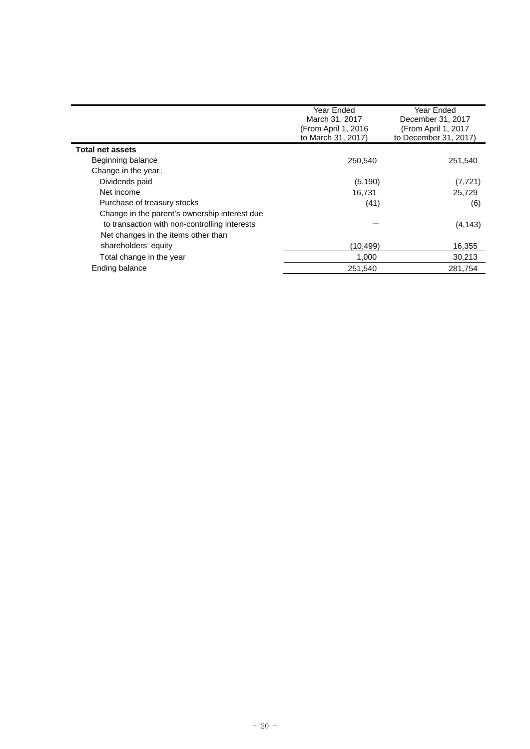|                                               | Year Ended<br>March 31, 2017 | Year Ended<br>December 31, 2017 |
|-----------------------------------------------|------------------------------|---------------------------------|
|                                               | (From April 1, 2016          | (From April 1, 2017             |
|                                               | to March 31, 2017)           | to December 31, 2017)           |
| <b>Total net assets</b>                       |                              |                                 |
| Beginning balance                             | 250.540                      | 251,540                         |
| Change in the year:                           |                              |                                 |
| Dividends paid                                | (5, 190)                     | (7, 721)                        |
| Net income                                    | 16.731                       | 25.729                          |
| Purchase of treasury stocks                   | (41)                         | (6)                             |
| Change in the parent's ownership interest due |                              |                                 |
| to transaction with non-controlling interests |                              | (4, 143)                        |
| Net changes in the items other than           |                              |                                 |
| shareholders' equity                          | (10,499)                     | 16,355                          |
| Total change in the year                      | 1,000                        | 30,213                          |
| Ending balance                                | 251,540                      | 281,754                         |
|                                               |                              |                                 |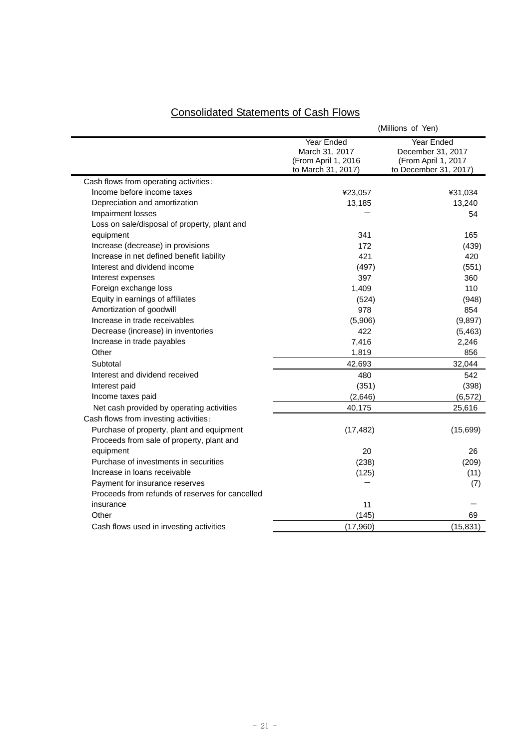|                                                 | (Millions of Yen)                                                         |                                                                                 |  |  |
|-------------------------------------------------|---------------------------------------------------------------------------|---------------------------------------------------------------------------------|--|--|
|                                                 | Year Ended<br>March 31, 2017<br>(From April 1, 2016<br>to March 31, 2017) | Year Ended<br>December 31, 2017<br>(From April 1, 2017<br>to December 31, 2017) |  |  |
| Cash flows from operating activities:           |                                                                           |                                                                                 |  |  |
| Income before income taxes                      | ¥23,057                                                                   | ¥31,034                                                                         |  |  |
| Depreciation and amortization                   | 13,185                                                                    | 13,240                                                                          |  |  |
| Impairment losses                               |                                                                           | 54                                                                              |  |  |
| Loss on sale/disposal of property, plant and    |                                                                           |                                                                                 |  |  |
| equipment                                       | 341                                                                       | 165                                                                             |  |  |
| Increase (decrease) in provisions               | 172                                                                       | (439)                                                                           |  |  |
| Increase in net defined benefit liability       | 421                                                                       | 420                                                                             |  |  |
| Interest and dividend income                    | (497)                                                                     | (551)                                                                           |  |  |
| Interest expenses                               | 397                                                                       | 360                                                                             |  |  |
| Foreign exchange loss                           | 1,409                                                                     | 110                                                                             |  |  |
| Equity in earnings of affiliates                | (524)                                                                     | (948)                                                                           |  |  |
| Amortization of goodwill                        | 978                                                                       | 854                                                                             |  |  |
| Increase in trade receivables                   | (5,906)                                                                   | (9,897)                                                                         |  |  |
| Decrease (increase) in inventories              | 422                                                                       | (5, 463)                                                                        |  |  |
| Increase in trade payables                      | 7,416                                                                     | 2,246                                                                           |  |  |
| Other                                           | 1,819                                                                     | 856                                                                             |  |  |
| Subtotal                                        | 42,693                                                                    | 32,044                                                                          |  |  |
| Interest and dividend received                  | 480                                                                       | 542                                                                             |  |  |
| Interest paid                                   | (351)                                                                     | (398)                                                                           |  |  |
| Income taxes paid                               | (2,646)                                                                   | (6, 572)                                                                        |  |  |
| Net cash provided by operating activities       | 40,175                                                                    | 25,616                                                                          |  |  |
| Cash flows from investing activities:           |                                                                           |                                                                                 |  |  |
| Purchase of property, plant and equipment       | (17, 482)                                                                 | (15,699)                                                                        |  |  |
| Proceeds from sale of property, plant and       |                                                                           |                                                                                 |  |  |
| equipment                                       | 20                                                                        | 26                                                                              |  |  |
| Purchase of investments in securities           | (238)                                                                     | (209)                                                                           |  |  |
| Increase in loans receivable                    | (125)                                                                     | (11)                                                                            |  |  |
| Payment for insurance reserves                  |                                                                           | (7)                                                                             |  |  |
| Proceeds from refunds of reserves for cancelled |                                                                           |                                                                                 |  |  |
| insurance                                       | 11                                                                        |                                                                                 |  |  |
| Other                                           | (145)                                                                     | 69                                                                              |  |  |
| Cash flows used in investing activities         | (17,960)                                                                  | (15, 831)                                                                       |  |  |

# Consolidated Statements of Cash Flows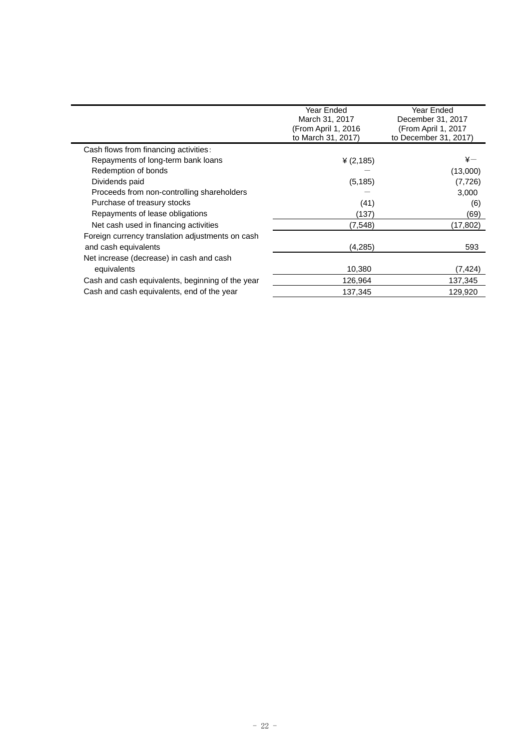|                                                  | Year Ended<br>Year Ended<br>March 31, 2017<br>December 31, 2017<br>(From April 1, 2016<br>(From April 1, 2017<br>to March 31, 2017)<br>to December 31, 2017) |               |
|--------------------------------------------------|--------------------------------------------------------------------------------------------------------------------------------------------------------------|---------------|
| Cash flows from financing activities:            |                                                                                                                                                              |               |
| Repayments of long-term bank loans               | ¥ $(2, 185)$                                                                                                                                                 | $\frac{1}{2}$ |
| Redemption of bonds                              |                                                                                                                                                              | (13,000)      |
| Dividends paid                                   | (5, 185)                                                                                                                                                     | (7, 726)      |
| Proceeds from non-controlling shareholders       |                                                                                                                                                              | 3,000         |
| Purchase of treasury stocks                      | (41)                                                                                                                                                         | (6)           |
| Repayments of lease obligations                  | (137)                                                                                                                                                        | (69)          |
| Net cash used in financing activities            | (7, 548)                                                                                                                                                     | (17,802)      |
| Foreign currency translation adjustments on cash |                                                                                                                                                              |               |
| and cash equivalents                             | (4,285)                                                                                                                                                      | 593           |
| Net increase (decrease) in cash and cash         |                                                                                                                                                              |               |
| equivalents                                      | 10,380                                                                                                                                                       | (7,424)       |
| Cash and cash equivalents, beginning of the year | 126,964                                                                                                                                                      | 137,345       |
| Cash and cash equivalents, end of the year       | 137,345                                                                                                                                                      | 129,920       |
|                                                  |                                                                                                                                                              |               |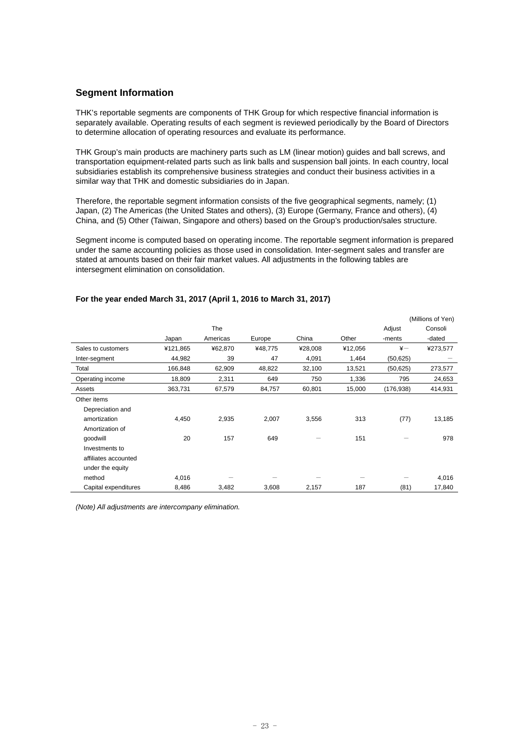# **Segment Information**

THK's reportable segments are components of THK Group for which respective financial information is separately available. Operating results of each segment is reviewed periodically by the Board of Directors to determine allocation of operating resources and evaluate its performance.

THK Group's main products are machinery parts such as LM (linear motion) guides and ball screws, and transportation equipment-related parts such as link balls and suspension ball joints. In each country, local subsidiaries establish its comprehensive business strategies and conduct their business activities in a similar way that THK and domestic subsidiaries do in Japan.

Therefore, the reportable segment information consists of the five geographical segments, namely; (1) Japan, (2) The Americas (the United States and others), (3) Europe (Germany, France and others), (4) China, and (5) Other (Taiwan, Singapore and others) based on the Group's production/sales structure.

Segment income is computed based on operating income. The reportable segment information is prepared under the same accounting policies as those used in consolidation. Inter-segment sales and transfer are stated at amounts based on their fair market values. All adjustments in the following tables are intersegment elimination on consolidation.

|                      |          |          |         |         |         |               | (Millions of Yen) |
|----------------------|----------|----------|---------|---------|---------|---------------|-------------------|
|                      |          | The      |         |         |         | Adjust        | Consoli           |
|                      | Japan    | Americas | Europe  | China   | Other   | -ments        | -dated            |
| Sales to customers   | ¥121,865 | ¥62,870  | ¥48,775 | ¥28,008 | ¥12,056 | $\frac{1}{2}$ | ¥273,577          |
| Inter-segment        | 44,982   | 39       | 47      | 4,091   | 1,464   | (50, 625)     |                   |
| Total                | 166,848  | 62,909   | 48,822  | 32,100  | 13,521  | (50, 625)     | 273,577           |
| Operating income     | 18,809   | 2,311    | 649     | 750     | 1,336   | 795           | 24,653            |
| Assets               | 363,731  | 67,579   | 84,757  | 60,801  | 15,000  | (176, 938)    | 414,931           |
| Other items          |          |          |         |         |         |               |                   |
| Depreciation and     |          |          |         |         |         |               |                   |
| amortization         | 4,450    | 2,935    | 2,007   | 3,556   | 313     | (77)          | 13,185            |
| Amortization of      |          |          |         |         |         |               |                   |
| qoodwill             | 20       | 157      | 649     |         | 151     |               | 978               |
| Investments to       |          |          |         |         |         |               |                   |
| affiliates accounted |          |          |         |         |         |               |                   |
| under the equity     |          |          |         |         |         |               |                   |
| method               | 4,016    |          |         |         |         |               | 4,016             |
| Capital expenditures | 8,486    | 3,482    | 3,608   | 2,157   | 187     | (81)          | 17,840            |

### **For the year ended March 31, 2017 (April 1, 2016 to March 31, 2017)**

*(Note) All adjustments are intercompany elimination.*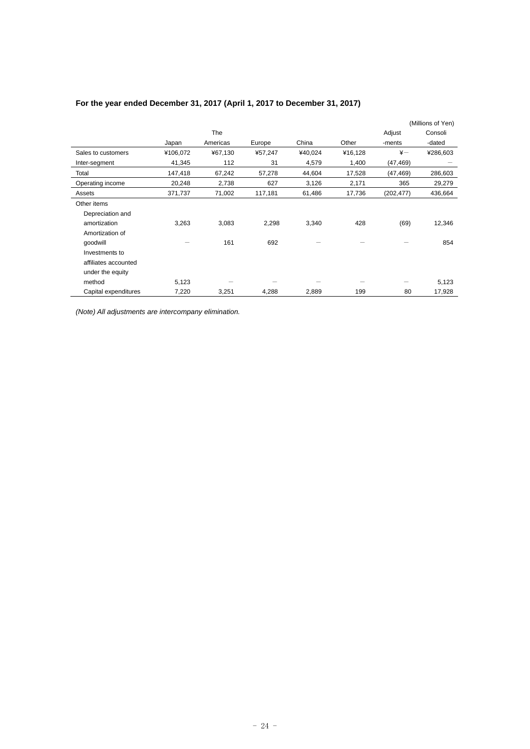|                      |          |            |         |         |         |               | (Millions of Yen) |
|----------------------|----------|------------|---------|---------|---------|---------------|-------------------|
|                      |          | <b>The</b> |         |         |         | Adjust        | Consoli           |
|                      | Japan    | Americas   | Europe  | China   | Other   | -ments        | -dated            |
| Sales to customers   | ¥106,072 | ¥67,130    | ¥57,247 | ¥40,024 | ¥16,128 | $\frac{1}{2}$ | ¥286,603          |
| Inter-segment        | 41,345   | 112        | 31      | 4,579   | 1,400   | (47, 469)     |                   |
| Total                | 147,418  | 67,242     | 57,278  | 44,604  | 17,528  | (47, 469)     | 286,603           |
| Operating income     | 20,248   | 2,738      | 627     | 3,126   | 2,171   | 365           | 29,279            |
| Assets               | 371,737  | 71,002     | 117,181 | 61,486  | 17,736  | (202, 477)    | 436,664           |
| Other items          |          |            |         |         |         |               |                   |
| Depreciation and     |          |            |         |         |         |               |                   |
| amortization         | 3,263    | 3,083      | 2,298   | 3,340   | 428     | (69)          | 12,346            |
| Amortization of      |          |            |         |         |         |               |                   |
| qoodwill             |          | 161        | 692     |         |         |               | 854               |
| Investments to       |          |            |         |         |         |               |                   |
| affiliates accounted |          |            |         |         |         |               |                   |
| under the equity     |          |            |         |         |         |               |                   |
| method               | 5,123    |            |         |         |         |               | 5,123             |
| Capital expenditures | 7,220    | 3,251      | 4,288   | 2,889   | 199     | 80            | 17,928            |

# **For the year ended December 31, 2017 (April 1, 2017 to December 31, 2017)**

*(Note) All adjustments are intercompany elimination.*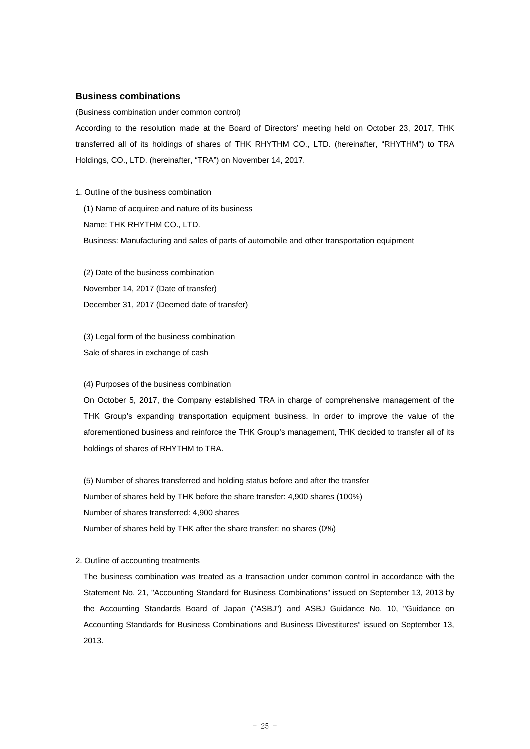#### **Business combinations**

(Business combination under common control)

According to the resolution made at the Board of Directors' meeting held on October 23, 2017, THK transferred all of its holdings of shares of THK RHYTHM CO., LTD. (hereinafter, "RHYTHM") to TRA Holdings, CO., LTD. (hereinafter, "TRA") on November 14, 2017.

#### 1. Outline of the business combination

(1) Name of acquiree and nature of its business Name: THK RHYTHM CO., LTD. Business: Manufacturing and sales of parts of automobile and other transportation equipment

(2) Date of the business combination November 14, 2017 (Date of transfer) December 31, 2017 (Deemed date of transfer)

(3) Legal form of the business combination Sale of shares in exchange of cash

#### (4) Purposes of the business combination

On October 5, 2017, the Company established TRA in charge of comprehensive management of the THK Group's expanding transportation equipment business. In order to improve the value of the aforementioned business and reinforce the THK Group's management, THK decided to transfer all of its holdings of shares of RHYTHM to TRA.

(5) Number of shares transferred and holding status before and after the transfer Number of shares held by THK before the share transfer: 4,900 shares (100%) Number of shares transferred: 4,900 shares Number of shares held by THK after the share transfer: no shares (0%)

#### 2. Outline of accounting treatments

The business combination was treated as a transaction under common control in accordance with the Statement No. 21, "Accounting Standard for Business Combinations" issued on September 13, 2013 by the Accounting Standards Board of Japan ("ASBJ") and ASBJ Guidance No. 10, "Guidance on Accounting Standards for Business Combinations and Business Divestitures" issued on September 13, 2013.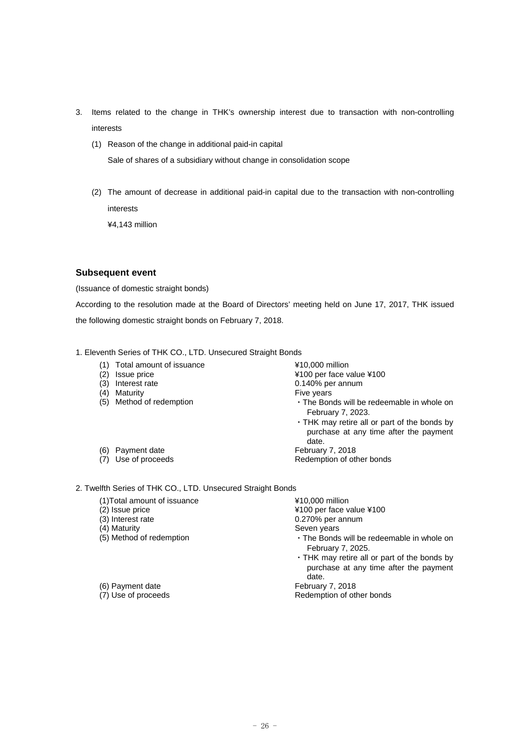- 3. Items related to the change in THK's ownership interest due to transaction with non-controlling interests
	- (1) Reason of the change in additional paid-in capital

Sale of shares of a subsidiary without change in consolidation scope

(2) The amount of decrease in additional paid-in capital due to the transaction with non-controlling interests

¥4,143 million

#### **Subsequent event**

(Issuance of domestic straight bonds)

According to the resolution made at the Board of Directors' meeting held on June 17, 2017, THK issued the following domestic straight bonds on February 7, 2018.

- 1. Eleventh Series of THK CO., LTD. Unsecured Straight Bonds
	- (1) Total amount of issuance ¥10,000 million
	- (2) Issue price ¥100 per face value ¥100
	- (3) Interest rate 0.140% per annum
	- (4) Maturity **Fixely** Maturity **Fixely** Power and Maturity **Fixely** Power and Maturity **Fixely** Power and Maturity **Fixely** Power and Maturity **Fixely** Power and Maturity **Fixely** Power and Maturity **Fixely** Power and Matu
	-

(6) Payment date February 7, 2018

- 
- (5) Method of redemption **the Conduct of The Bonds will be redeemable in whole on** February 7, 2023.
	- ・THK may retire all or part of the bonds by purchase at any time after the payment date.
- (7) Use of proceeds Redemption of other bonds

2. Twelfth Series of THK CO., LTD. Unsecured Straight Bonds

- (1)Total amount of issuance  $\frac{410,000 \text{ million}}{4100 \text{ per face}}$
- 
- 
- 
- (4) Maturity Seven years<br>
(5) Method of redemption 
(5) Contract 
in the Bonds

(6) Payment date February 7, 2018<br>
(7) Use of proceeds February 7, 2018

(2) Issue price  $(3)$  Interest rate  $(4100)$  per face value  $4100$ <br>(3) Interest rate  $(3)$  Interest rate (3) Interest rate and the control of the control of the control of the control of the control of the control of the control of the control of the control of the control of the control of the control of the control of the c

- 
- $\cdot$  The Bonds will be redeemable in whole on February 7, 2025.
- ・THK may retire all or part of the bonds by purchase at any time after the payment date.

Redemption of other bonds